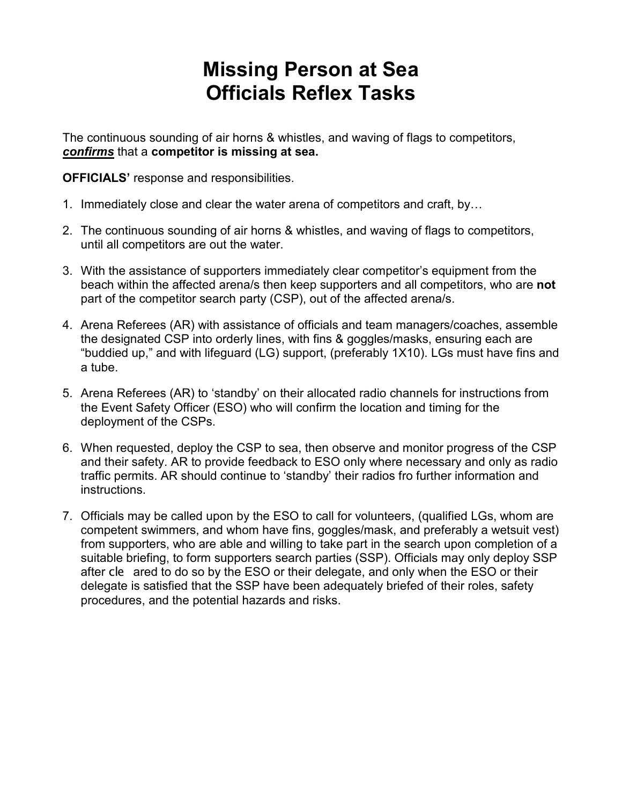## **Missing Person at Sea Officials Reflex Tasks**

The continuous sounding of air horns & whistles, and waving of flags to competitors, *confirms* that a **competitor is missing at sea.**

**OFFICIALS'** response and responsibilities.

- 1. Immediately close and clear the water arena of competitors and craft, by…
- 2. The continuous sounding of air horns & whistles, and waving of flags to competitors, until all competitors are out the water.
- 3. With the assistance of supporters immediately clear competitor's equipment from the beach within the affected arena/s then keep supporters and all competitors, who are **not** part of the competitor search party (CSP), out of the affected arena/s.
- 4. Arena Referees (AR) with assistance of officials and team managers/coaches, assemble the designated CSP into orderly lines, with fins & goggles/masks, ensuring each are "buddied up," and with lifeguard (LG) support, (preferably 1X10). LGs must have fins and a tube.
- 5. Arena Referees (AR) to 'standby' on their allocated radio channels for instructions from the Event Safety Officer (ESO) who will confirm the location and timing for the deployment of the CSPs.
- 6. When requested, deploy the CSP to sea, then observe and monitor progress of the CSP and their safety. AR to provide feedback to ESO only where necessary and only as radio traffic permits. AR should continue to 'standby' their radios fro further information and instructions.
- 7. Officials may be called upon by the ESO to call for volunteers, (qualified LGs, whom are competent swimmers, and whom have fins, goggles/mask, and preferably a wetsuit vest) from supporters, who are able and willing to take part in the search upon completion of a suitable briefing, to form supporters search parties (SSP). Officials may only deploy SSP after cle ared to do so by the ESO or their delegate, and only when the ESO or their delegate is satisfied that the SSP have been adequately briefed of their roles, safety procedures, and the potential hazards and risks.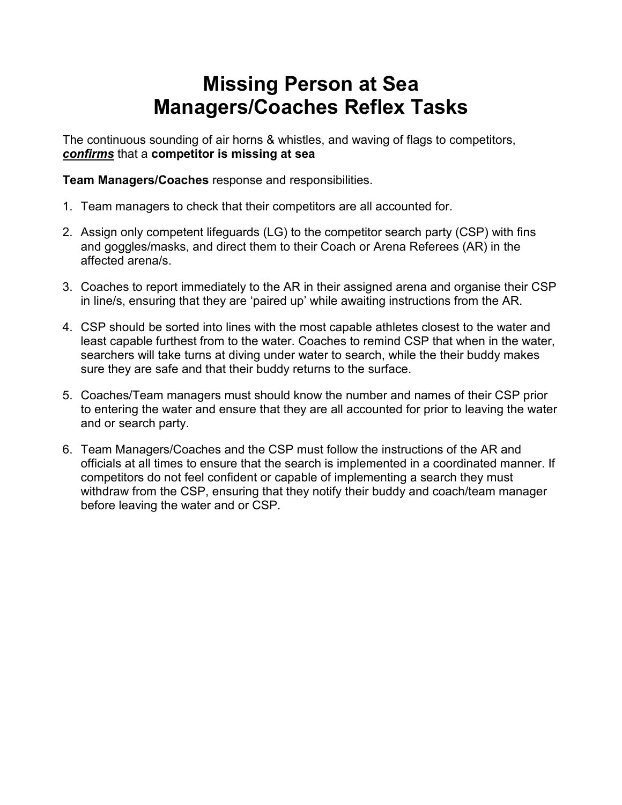# **Missing Person at Sea Managers/Coaches Reflex Tasks**

The continuous sounding of air horns & whistles, and waving of flags to competitors, *confirms* that a **competitor is missing at sea**

**Team Managers/Coaches** response and responsibilities.

- 1. Team managers to check that their competitors are all accounted for.
- 2. Assign only competent lifeguards (LG) to the competitor search party (CSP) with fins and goggles/masks, and direct them to their Coach or Arena Referees (AR) in the affected arena/s.
- 3. Coaches to report immediately to the AR in their assigned arena and organise their CSP in line/s, ensuring that they are 'paired up' while awaiting instructions from the AR.
- 4. CSP should be sorted into lines with the most capable athletes closest to the water and least capable furthest from to the water. Coaches to remind CSP that when in the water, searchers will take turns at diving under water to search, while the their buddy makes sure they are safe and that their buddy returns to the surface.
- 5. Coaches/Team managers must should know the number and names of their CSP prior to entering the water and ensure that they are all accounted for prior to leaving the water and or search party.
- 6. Team Managers/Coaches and the CSP must follow the instructions of the AR and officials at all times to ensure that the search is implemented in a coordinated manner. If competitors do not feel confident or capable of implementing a search they must withdraw from the CSP, ensuring that they notify their buddy and coach/team manager before leaving the water and or CSP.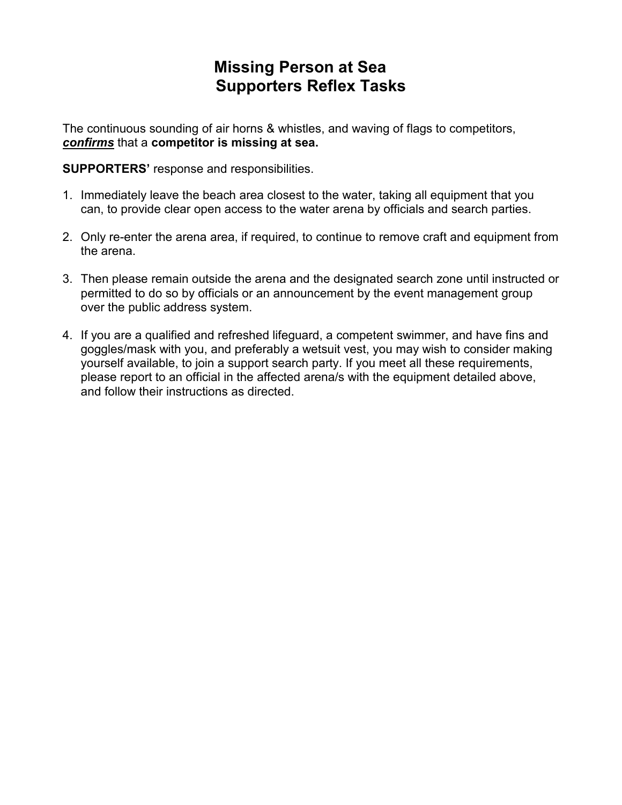### **Missing Person at Sea Supporters Reflex Tasks**

The continuous sounding of air horns & whistles, and waving of flags to competitors, *confirms* that a **competitor is missing at sea.**

**SUPPORTERS'** response and responsibilities.

- 1. Immediately leave the beach area closest to the water, taking all equipment that you can, to provide clear open access to the water arena by officials and search parties.
- 2. Only re-enter the arena area, if required, to continue to remove craft and equipment from the arena.
- 3. Then please remain outside the arena and the designated search zone until instructed or permitted to do so by officials or an announcement by the event management group over the public address system.
- 4. If you are a qualified and refreshed lifeguard, a competent swimmer, and have fins and goggles/mask with you, and preferably a wetsuit vest, you may wish to consider making yourself available, to join a support search party. If you meet all these requirements, please report to an official in the affected arena/s with the equipment detailed above, and follow their instructions as directed.